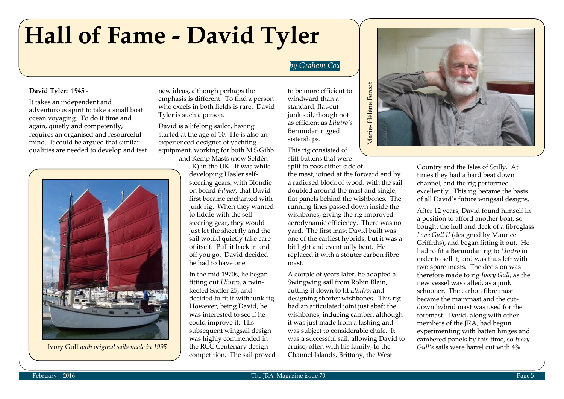# **Hall of Fame - David Tyler**

### *by Graham Cox*

#### **David Tyler: 1945 -**

It takes an independent and adventurous spirit to take a small boat ocean voyaging. To do it time and again, quietly and competently, requires an organised and resourceful mind. It could be argued that similar qualities are needed to develop and test



Ivory Gull *with original sails made in 1995*

new ideas, although perhaps the emphasis is different. To find a person who excels in both fields is rare. David Tyler is such a person.

David is a lifelong sailor, having started at the age of 10. He is also an experienced designer of yachting equipment, working for both M S Gibb and Kemp Masts (now Seldén

> UK) in the UK. It was while developing Hasler selfsteering gears, with Blondie on board *Pilmer,* that David first became enchanted with junk rig. When they wanted to fiddle with the selfsteering gear, they would just let the sheet fly and the sail would quietly take care of itself. Pull it back in and off you go. David decided he had to have one.

In the mid 1970s, he began fitting out *Lliutro*, a twinkeeled Sadler 25, and decided to fit it with junk rig. However, being David, he was interested to see if he could improve it. His subsequent wingsail design was highly commended in the RCC Centenary design competition. The sail proved

to be more efficient to windward than a standard, flat-cut junk sail, though not as efficient as *Lliutro's* Bermudan rigged sisterships.

This rig consisted of stiff battens that were

split to pass either side of the mast, joined at the forward end by a radiused block of wood, with the sail doubled around the mast and single, flat panels behind the wishbones. The running lines passed down inside the wishbones, giving the rig improved aerodynamic efficiency. There was no yard. The first mast David built was one of the earliest hybrids, but it was a bit light and eventually bent. He replaced it with a stouter carbon fibre mast.

A couple of years later, he adapted a Swingwing sail from Robin Blain, cutting it down to fit *Lliutro*, and designing shorter wishbones. This rig had an articulated joint just abaft the wishbones, inducing camber, although it was just made from a lashing and was subject to considerable chafe. It was a successful sail, allowing David to cruise, often with his family, to the Channel Islands, Brittany, the West



Country and the Isles of Scilly. At times they had a hard beat down channel, and the rig performed excellently. This rig became the basis of all David's future wingsail designs.

After 12 years, David found himself in a position to afford another boat, so bought the hull and deck of a fibreglass *Lone Gull II* (designed by Maurice Griffiths), and began fitting it out. He had to fit a Bermudan rig to *Lliutro* in order to sell it, and was thus left with two spare masts. The decision was therefore made to rig *Ivory Gull,* as the new vessel was called, as a junk schooner. The carbon fibre mast became the mainmast and the cutdown hybrid mast was used for the foremast. David, along with other members of the JRA, had begun experimenting with batten hinges and cambered panels by this time, so *Ivory Gull's* sails were barrel cut with 4%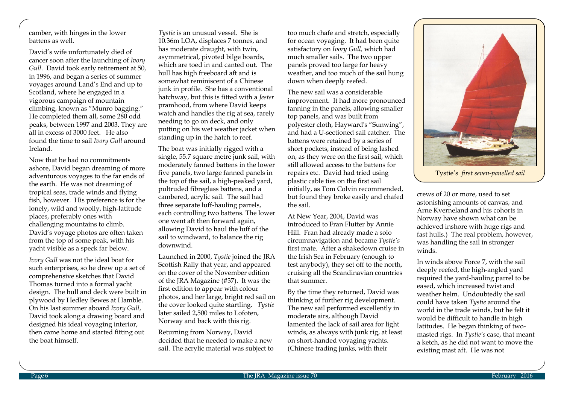camber, with hinges in the lower battens as well.

David's wife unfortunately died of cancer soon after the launching of *Ivory Gull*. David took early retirement at 50, in 1996, and began a series of summer voyages around Land's End and up to Scotland, where he engaged in a vigorous campaign of mountain climbing, known as "Munro bagging." He completed them all, some 280 odd peaks, between 1997 and 2003. They are all in excess of 3000 feet. He also found the time to sail *Ivory Gull* around Ireland.

Now that he had no commitments ashore, David began dreaming of more adventurous voyages to the far ends of the earth. He was not dreaming of tropical seas, trade winds and flying fish, however. His preference is for the lonely, wild and woolly, high-latitude places, preferably ones with challenging mountains to climb. David's voyage photos are often taken from the top of some peak, with his yacht visible as a speck far below.

*Ivory Gull* was not the ideal boat for such enterprises, so he drew up a set of comprehensive sketches that David Thomas turned into a formal yacht design. The hull and deck were built in plywood by Hedley Bewes at Hamble. On his last summer aboard *Ivory Gull*, David took along a drawing board and designed his ideal voyaging interior, then came home and started fitting out the boat himself.

*Tystie* is an unusual vessel. She is 10.36m LOA, displaces 7 tonnes, and has moderate draught, with twin, asymmetrical, pivoted bilge boards, which are toed in and canted out. The hull has high freeboard aft and is somewhat reminiscent of a Chinese junk in profile. She has a conventional hatchway, but this is fitted with a *Jester* pramhood, from where David keeps watch and handles the rig at sea, rarely needing to go on deck, and only putting on his wet weather jacket when standing up in the hatch to reef.

The boat was initially rigged with a single, 55.7 square metre junk sail, with moderately fanned battens in the lower five panels, two large fanned panels in the top of the sail, a high-peaked yard, pultruded fibreglass battens, and a cambered, acrylic sail. The sail had three separate luff-hauling parrels, each controlling two battens. The lower one went aft then forward again, allowing David to haul the luff of the sail to windward, to balance the rig downwind.

Launched in 2000, *Tystie* joined the JRA Scottish Rally that year, and appeared on the cover of the November edition of the JRA Magazine (#37). It was the first edition to appear with colour photos, and her large, bright red sail on the cover looked quite startling. *Tystie* later sailed 2,500 miles to Lofoten, Norway and back with this rig.

Returning from Norway, David decided that he needed to make a new sail. The acrylic material was subject to too much chafe and stretch, especially for ocean voyaging. It had been quite satisfactory on *Ivory Gull,* which had much smaller sails. The two upper panels proved too large for heavy weather, and too much of the sail hung down when deeply reefed.

The new sail was a considerable improvement. It had more pronounced fanning in the panels, allowing smaller top panels, and was built from polyester cloth, Hayward's "Sunwing", and had a U-sectioned sail catcher. The battens were retained by a series of short pockets, instead of being lashed on, as they were on the first sail, which still allowed access to the battens for repairs etc. David had tried using plastic cable ties on the first sail initially, as Tom Colvin recommended, but found they broke easily and chafed the sail.

At New Year, 2004, David was introduced to Fran Flutter by Annie Hill. Fran had already made a solo circumnavigation and became *Tystie's* first mate. After a shakedown cruise in the Irish Sea in February (enough to test anybody), they set off to the north, cruising all the Scandinavian countries that summer.

By the time they returned, David was thinking of further rig development. The new sail performed excellently in moderate airs, although David lamented the lack of sail area for light winds, as always with junk rig, at least on short-handed voyaging yachts. (Chinese trading junks, with their



Tystie's *first seven-panelled sail*

crews of 20 or more, used to set astonishing amounts of canvas, and Arne Kverneland and his cohorts in Norway have shown what can be achieved inshore with huge rigs and fast hulls.) The real problem, however, was handling the sail in stronger winds.

In winds above Force 7, with the sail deeply reefed, the high-angled yard required the yard-hauling parrel to be eased, which increased twist and weather helm. Undoubtedly the sail could have taken *Tystie* around the world in the trade winds, but he felt it would be difficult to handle in high latitudes. He began thinking of twomasted rigs. In *Tystie's* case, that meant a ketch, as he did not want to move the existing mast aft. He was not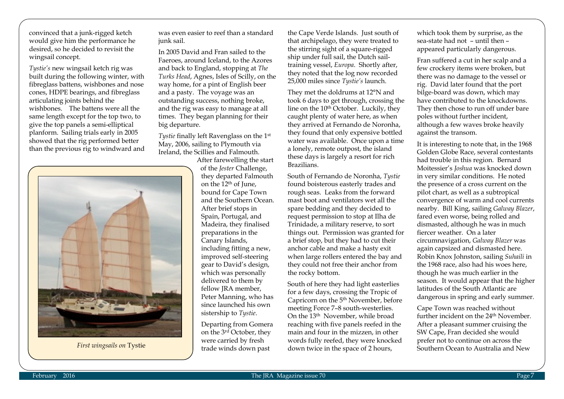convinced that a junk-rigged ketch would give him the performance he desired, so he decided to revisit the wingsail concept.

*Tystie's* new wingsail ketch rig was built during the following winter, with fibreglass battens, wishbones and nose cones, HDPE bearings, and fibreglass articulating joints behind the wishbones. The battens were all the same length except for the top two, to give the top panels a semi-elliptical planform. Sailing trials early in 2005 showed that the rig performed better than the previous rig to windward and



was even easier to reef than a standard junk sail.

In 2005 David and Fran sailed to the Faeroes, around Iceland, to the Azores and back to England, stopping at *The Turks Head*, Agnes, Isles of Scilly, on the way home, for a pint of English beer and a pasty. The voyage was an outstanding success, nothing broke, and the rig was easy to manage at all times. They began planning for their big departure.

*Tystie* finally left Ravenglass on the 1st May, 2006, sailing to Plymouth via Ireland, the Scillies and Falmouth.

After farewelling the start of the *Jester* Challenge, they departed Falmouth on the 12th of June, bound for Cape Town and the Southern Ocean. After brief stops in Spain, Portugal, and Madeira, they finalised preparations in the Canary Islands, including fitting a new, improved self-steering gear to David's design, which was personally delivered to them by fellow IRA member. Peter Manning, who has since launched his own sistership to *Tystie*.

Departing from Gomera on the 3rd October, they were carried by fresh trade winds down past

the Cape Verde Islands. Just south of that archipelago, they were treated to the stirring sight of a square-rigged ship under full sail, the Dutch sailtraining vessel, *Europa*. Shortly after, they noted that the log now recorded 25,000 miles since *Tystie's* launch.

They met the doldrums at 12°N and took 6 days to get through, crossing the line on the 10<sup>th</sup> October. Luckily, they caught plenty of water here, as when they arrived at Fernando de Noronha, they found that only expensive bottled water was available. Once upon a time a lonely, remote outpost, the island these days is largely a resort for rich Brazilians.

South of Fernando de Noronha, *Tystie* found boisterous easterly trades and rough seas. Leaks from the forward mast boot and ventilators wet all the spare bedding and they decided to request permission to stop at Ilha de Trinidade, a military reserve, to sort things out. Permission was granted for a brief stop, but they had to cut their anchor cable and make a hasty exit when large rollers entered the bay and they could not free their anchor from the rocky bottom.

South of here they had light easterlies for a few days, crossing the Tropic of Capricorn on the 5th November, before meeting Force 7–8 south-westerlies. On the 13th November, while broad reaching with five panels reefed in the main and four in the mizzen, in other words fully reefed, they were knocked

which took them by surprise, as the sea-state had not – until then – appeared particularly dangerous.

Fran suffered a cut in her scalp and a few crockery items were broken, but there was no damage to the vessel or rig. David later found that the port bilge-board was down, which may have contributed to the knockdowns. They then chose to run off under bare poles without further incident, although a few waves broke heavily against the transom.

It is interesting to note that, in the 1968 Golden Globe Race, several contestants had trouble in this region. Bernard Moitessier's *Joshua* was knocked down in very similar conditions. He noted the presence of a cross current on the pilot chart, as well as a subtropical convergence of warm and cool currents nearby. Bill King, sailing *Galway Blazer*, fared even worse, being rolled and dismasted, although he was in much fiercer weather. On a later circumnavigation, *Galway Blazer* was again capsized and dismasted here. Robin Knox Johnston, sailing *Suhaili* in the 1968 race, also had his woes here, though he was much earlier in the season. It would appear that the higher latitudes of the South Atlantic are dangerous in spring and early summer.

First wingsails on Tystie **First wingsails on Tystie First wingsails on Tystie First wingsails on Tystie First wingsails on Tystie First wingsails on Tystie First wingsails on Tystie First wingsails on Tystie** Cape Town was reached without further incident on the 24<sup>th</sup> November. After a pleasant summer cruising the SW Cape, Fran decided she would prefer not to continue on across the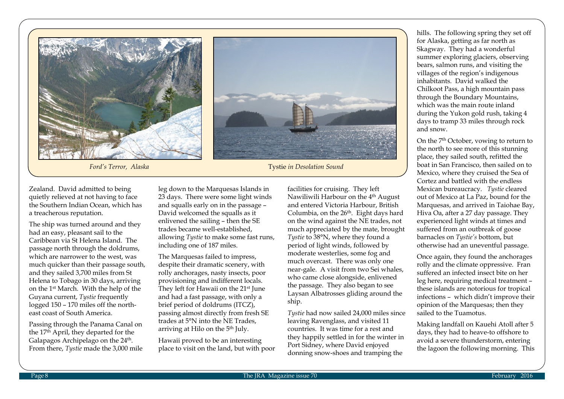

**Ford's Terror, Alaska** Tystie *in Desolation Sound* 

Zealand. David admitted to being quietly relieved at not having to face the Southern Indian Ocean, which has a treacherous reputation.

The ship was turned around and they had an easy, pleasant sail to the Caribbean via St Helena Island. The passage north through the doldrums, which are narrower to the west, was much quicker than their passage south, and they sailed 3,700 miles from St Helena to Tobago in 30 days, arriving on the 1st March. With the help of the Guyana current, *Tystie* frequently logged 150 – 170 miles off the northeast coast of South America.

Passing through the Panama Canal on the 17th April, they departed for the Galapagos Archipelago on the 24<sup>th</sup>. From there, *Tystie* made the 3,000 mile

leg down to the Marquesas Islands in 23 days. There were some light winds and squalls early on in the passage – David welcomed the squalls as it enlivened the sailing – then the SE trades became well-established, allowing *Tystie* to make some fast runs, including one of 187 miles.

The Marquesas failed to impress, despite their dramatic scenery, with rolly anchorages, nasty insects, poor provisioning and indifferent locals. They left for Hawaii on the 21<sup>st</sup> June and had a fast passage, with only a brief period of doldrums (ITCZ), passing almost directly from fresh SE trades at 5°N into the NE Trades, arriving at Hilo on the 5th July.

Hawaii proved to be an interesting place to visit on the land, but with poor facilities for cruising. They left Nawiliwili Harbour on the 4<sup>th</sup> August and entered Victoria Harbour, British Columbia, on the 26<sup>th</sup>. Eight days hard on the wind against the NE trades, not much appreciated by the mate, brought *Tystie* to 38°N, where they found a period of light winds, followed by moderate westerlies, some fog and much overcast. There was only one near-gale. A visit from two Sei whales, who came close alongside, enlivened the passage. They also began to see Laysan Albatrosses gliding around the ship.

*Tystie* had now sailed 24,000 miles since leaving Ravenglass, and visited 11 countries. It was time for a rest and they happily settled in for the winter in Port Sidney, where David enjoyed donning snow-shoes and tramping the

hills. The following spring they set off for Alaska, getting as far north as Skagway. They had a wonderful summer exploring glaciers, observing bears, salmon runs, and visiting the villages of the region's indigenous inhabitants. David walked the Chilkoot Pass, a high mountain pass through the Boundary Mountains, which was the main route inland during the Yukon gold rush, taking 4 days to tramp 33 miles through rock and snow.

On the 7th October, vowing to return to the north to see more of this stunning place, they sailed south, refitted the boat in San Francisco, then sailed on to Mexico, where they cruised the Sea of Cortez and battled with the endless Mexican bureaucracy. *Tystie* cleared out of Mexico at La Paz, bound for the Marquesas, and arrived in Taiohae Bay, Hiva Oa, after a 27 day passage. They experienced light winds at times and suffered from an outbreak of goose barnacles on *Tystie's* bottom, but otherwise had an uneventful passage.

Once again, they found the anchorages rolly and the climate oppressive. Fran suffered an infected insect bite on her leg here, requiring medical treatment – these islands are notorious for tropical infections – which didn't improve their opinion of the Marquesas; then they sailed to the Tuamotus.

Making landfall on Kauehi Atoll after 5 days, they had to heave-to offshore to avoid a severe thunderstorm, entering the lagoon the following morning. This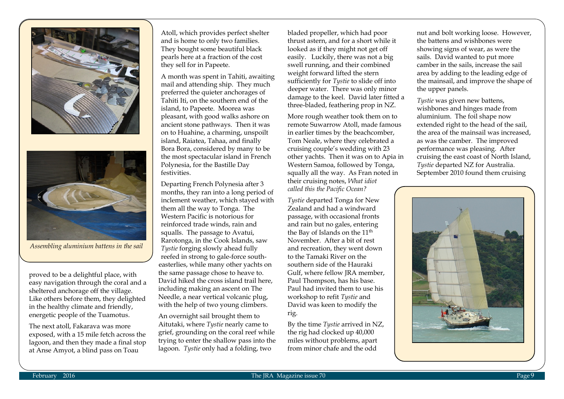



*Assembling aluminium battens in the sail* 

proved to be a delightful place, with easy navigation through the coral and a sheltered anchorage off the village. Like others before them, they delighted in the healthy climate and friendly, energetic people of the Tuamotus.

The next atoll, Fakarava was more exposed, with a 15 mile fetch across the lagoon, and then they made a final stop at Anse Amyot, a blind pass on Toau

Atoll, which provides perfect shelter and is home to only two families. They bought some beautiful black pearls here at a fraction of the cost they sell for in Papeete.

A month was spent in Tahiti, awaiting mail and attending ship. They much preferred the quieter anchorages of Tahiti Iti, on the southern end of the island, to Papeete. Moorea was pleasant, with good walks ashore on ancient stone pathways. Then it was on to Huahine, a charming, unspoilt island, Raiatea, Tahaa, and finally Bora Bora, considered by many to be the most spectacular island in French Polynesia, for the Bastille Day festivities.

Departing French Polynesia after 3 months, they ran into a long period of inclement weather, which stayed with them all the way to Tonga. The Western Pacific is notorious for reinforced trade winds, rain and squalls. The passage to Avatui, Rarotonga, in the Cook Islands, saw *Tystie* forging slowly ahead fully reefed in strong to gale-force southeasterlies, while many other yachts on the same passage chose to heave to. David hiked the cross island trail here, including making an ascent on The Needle, a near vertical volcanic plug, with the help of two young climbers.

An overnight sail brought them to Aitutaki, where *Tystie* nearly came to grief, grounding on the coral reef while trying to enter the shallow pass into the lagoon. *Tystie* only had a folding, two

bladed propeller, which had poor thrust astern, and for a short while it looked as if they might not get off easily. Luckily, there was not a big swell running, and their combined weight forward lifted the stern sufficiently for *Tystie* to slide off into deeper water. There was only minor damage to the keel. David later fitted a three-bladed, feathering prop in NZ.

More rough weather took them on to remote Suwarrow Atoll, made famous in earlier times by the beachcomber, Tom Neale, where they celebrated a cruising couple's wedding with 23 other yachts. Then it was on to Apia in Western Samoa, followed by Tonga, squally all the way. As Fran noted in their cruising notes, *What idiot called this the Pacific Ocean?*

*Tystie* departed Tonga for New Zealand and had a windward passage, with occasional fronts and rain but no gales, entering the Bay of Islands on the  $11<sup>th</sup>$ November. After a bit of rest and recreation, they went down to the Tamaki River on the southern side of the Hauraki Gulf, where fellow JRA member, Paul Thompson, has his base. Paul had invited them to use his workshop to refit *Tystie* and David was keen to modify the rig.

By the time *Tystie* arrived in NZ, the rig had clocked up 40,000 miles without problems, apart from minor chafe and the odd

nut and bolt working loose. However, the battens and wishbones were showing signs of wear, as were the sails. David wanted to put more camber in the sails, increase the sail area by adding to the leading edge of the mainsail, and improve the shape of the upper panels.

*Tystie* was given new battens, wishbones and hinges made from aluminium. The foil shape now extended right to the head of the sail, the area of the mainsail was increased, as was the camber. The improved performance was pleasing. After cruising the east coast of North Island, *Tystie* departed NZ for Australia. September 2010 found them cruising

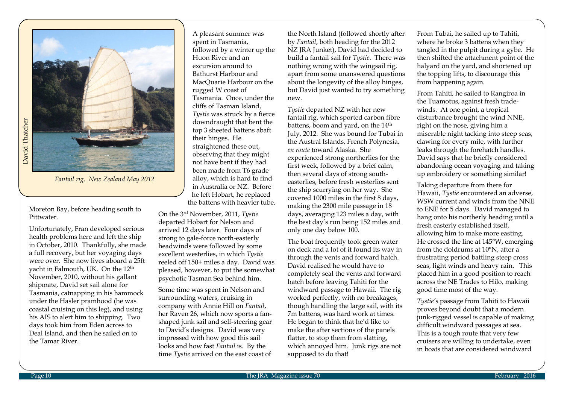

*Fantail rig, New Zealand May 2012*

Moreton Bay, before heading south to Pittwater.

Unfortunately, Fran developed serious health problems here and left the ship in October, 2010. Thankfully, she made a full recovery, but her voyaging days were over. She now lives aboard a 25ft yacht in Falmouth, UK. On the 12th November, 2010, without his gallant shipmate, David set sail alone for Tasmania, catnapping in his hammock under the Hasler pramhood (he was coastal cruising on this leg), and using his AIS to alert him to shipping. Two days took him from Eden across to Deal Island, and then he sailed on to the Tamar River.

A pleasant summer was spent in Tasmania, followed by a winter up the Huon River and an excursion around to Bathurst Harbour and MacQuarie Harbour on the rugged W coast of Tasmania. Once, under the cliffs of Tasman Island, *Tystie* was struck by a fierce downdraught that bent the top 3 sheeted battens abaft their hinges. He straightened these out, observing that they might not have bent if they had been made from T6 grade alloy, which is hard to find in Australia or NZ. Before he left Hobart, he replaced the battens with heavier tube.

On the 3rd November, 2011, *Tystie* departed Hobart for Nelson and arrived 12 days later. Four days of strong to gale-force north-easterly headwinds were followed by some excellent westerlies, in which *Tystie* reeled off 150+ miles a day. David was pleased, however, to put the somewhat psychotic Tasman Sea behind him.

Some time was spent in Nelson and surrounding waters, cruising in company with Annie Hill on *Fantail*, her Raven 26, which now sports a fanshaped junk sail and self-steering gear to David's designs. David was very impressed with how good this sail looks and how fast *Fantail* is. By the time *Tystie* arrived on the east coast of

the North Island (followed shortly after by *Fantail*, both heading for the 2012 NZ JRA Junket), David had decided to build a fantail sail for *Tystie*. There was nothing wrong with the wingsail rig, apart from some unanswered questions about the longevity of the alloy hinges, but David just wanted to try something new.

*Tystie* departed NZ with her new fantail rig, which sported carbon fibre battens, boom and vard, on the  $14<sup>th</sup>$ July, 2012. She was bound for Tubai in the Austral Islands, French Polynesia, *en route* toward Alaska. She experienced strong northerlies for the first week, followed by a brief calm, then several days of strong southeasterlies, before fresh westerlies sent the ship scurrying on her way. She covered 1000 miles in the first 8 days, making the 2300 mile passage in 18 days, averaging 123 miles a day, with the best day's run being 152 miles and only one day below 100.

The boat frequently took green water on deck and a lot of it found its way in through the vents and forward hatch. David realised he would have to completely seal the vents and forward hatch before leaving Tahiti for the windward passage to Hawaii. The rig worked perfectly, with no breakages, though handling the large sail, with its 7m battens, was hard work at times. He began to think that he'd like to make the after sections of the panels flatter, to stop them from slatting, which annoyed him. Junk rigs are not supposed to do that!

From Tubai, he sailed up to Tahiti, where he broke 3 battens when they tangled in the pulpit during a gybe. He then shifted the attachment point of the halyard on the yard, and shortened up the topping lifts, to discourage this from happening again.

From Tahiti, he sailed to Rangiroa in the Tuamotus, against fresh tradewinds. At one point, a tropical disturbance brought the wind NNE, right on the nose, giving him a miserable night tacking into steep seas, clawing for every mile, with further leaks through the forehatch handles. David says that he briefly considered abandoning ocean voyaging and taking up embroidery or something similar!

Taking departure from there for Hawaii, *Tystie* encountered an adverse, WSW current and winds from the NNE to ENE for 5 days. David managed to hang onto his northerly heading until a fresh easterly established itself, allowing him to make more easting. He crossed the line at 145°W, emerging from the doldrums at 10°N, after a frustrating period battling steep cross seas, light winds and heavy rain. This placed him in a good position to reach across the NE Trades to Hilo, making good time most of the way.

*Tystie's* passage from Tahiti to Hawaii proves beyond doubt that a modern junk-rigged vessel is capable of making difficult windward passages at sea. This is a tough route that very few cruisers are willing to undertake, even in boats that are considered windward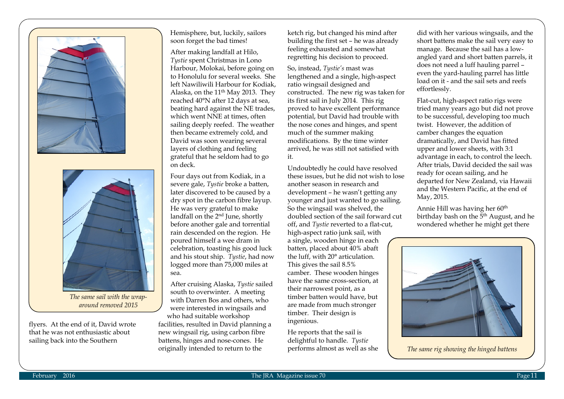



*The same sail with the wraparound removed 2015*

flyers. At the end of it, David wrote that he was not enthusiastic about sailing back into the Southern

Hemisphere, but, luckily, sailors soon forget the bad times!

After making landfall at Hilo, *Tystie* spent Christmas in Lono Harbour, Molokai, before going on to Honolulu for several weeks. She left Nawiliwili Harbour for Kodiak, Alaska, on the 11<sup>th</sup> May 2013. They reached 40°N after 12 days at sea, beating hard against the NE trades, which went NNE at times, often sailing deeply reefed. The weather then became extremely cold, and David was soon wearing several layers of clothing and feeling grateful that he seldom had to go on deck.

Four days out from Kodiak, in a severe gale, *Tystie* broke a batten, later discovered to be caused by a dry spot in the carbon fibre layup. He was very grateful to make landfall on the 2<sup>nd</sup> June, shortly before another gale and torrential rain descended on the region. He poured himself a wee dram in celebration, toasting his good luck and his stout ship. *Tystie*, had now logged more than 75,000 miles at sea.

After cruising Alaska, *Tystie* sailed south to overwinter. A meeting with Darren Bos and others, who were interested in wingsails and who had suitable workshop facilities, resulted in David planning a new wingsail rig, using carbon fibre battens, hinges and nose-cones. He originally intended to return to the

ketch rig, but changed his mind after building the first set – he was already feeling exhausted and somewhat regretting his decision to proceed.

So, instead, *Tystie's* mast was lengthened and a single, high-aspect ratio wingsail designed and constructed. The new rig was taken for its first sail in July 2014. This rig proved to have excellent performance potential, but David had trouble with the nose cones and hinges, and spent much of the summer making modifications. By the time winter arrived, he was still not satisfied with it.

Undoubtedly he could have resolved these issues, but he did not wish to lose another season in research and development – he wasn't getting any younger and just wanted to go sailing. So the wingsail was shelved, the doubled section of the sail forward cut off, and *Tystie* reverted to a flat-cut, high-aspect ratio junk sail, with a single, wooden hinge in each batten, placed about 40% abaft the luff, with 20° articulation. This gives the sail 8.5% camber. These wooden hinges have the same cross-section, at their narrowest point, as a timber batten would have, but are made from much stronger timber. Their design is ingenious.

He reports that the sail is delightful to handle. *Tystie* performs almost as well as she did with her various wingsails, and the short battens make the sail very easy to manage. Because the sail has a lowangled yard and short batten parrels, it does not need a luff hauling parrel – even the yard-hauling parrel has little load on it - and the sail sets and reefs effortlessly.

Flat-cut, high-aspect ratio rigs were tried many years ago but did not prove to be successful, developing too much twist. However, the addition of camber changes the equation dramatically, and David has fitted upper and lower sheets, with 3:1 advantage in each, to control the leech. After trials, David decided the sail was ready for ocean sailing, and he departed for New Zealand, via Hawaii and the Western Pacific, at the end of May, 2015.

Annie Hill was having her 60<sup>th</sup> birthday bash on the 5<sup>th</sup> August, and he wondered whether he might get there



*The same rig showing the hinged battens*